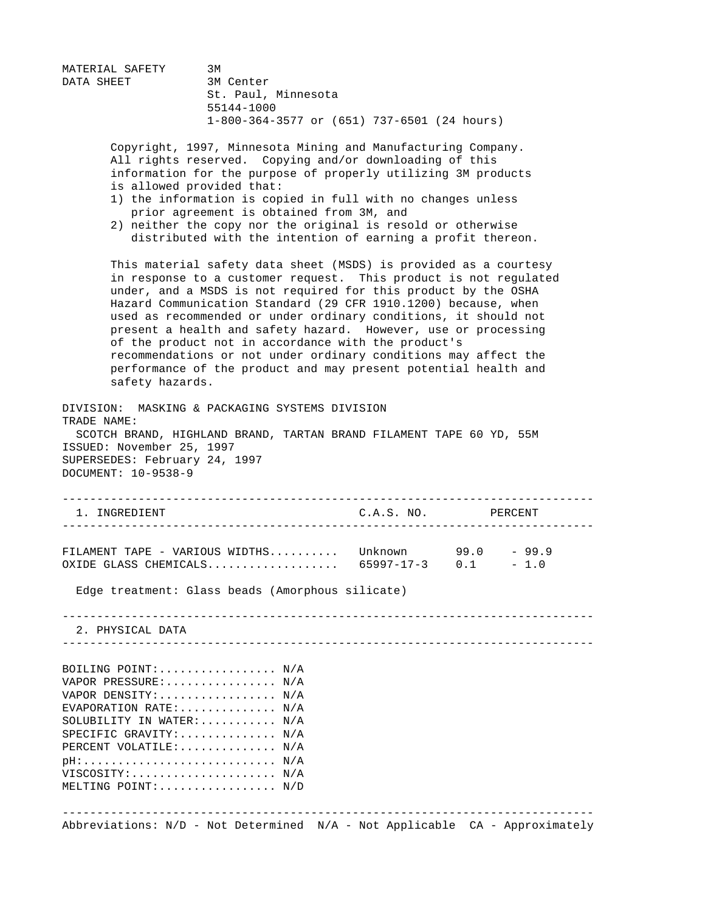MATERIAL SAFETY 3M DATA SHEET 3M Center St. Paul, Minnesota 55144-1000 1-800-364-3577 or (651) 737-6501 (24 hours) Copyright, 1997, Minnesota Mining and Manufacturing Company. All rights reserved. Copying and/or downloading of this information for the purpose of properly utilizing 3M products is allowed provided that: 1) the information is copied in full with no changes unless prior agreement is obtained from 3M, and 2) neither the copy nor the original is resold or otherwise distributed with the intention of earning a profit thereon. This material safety data sheet (MSDS) is provided as a courtesy in response to a customer request. This product is not regulated under, and a MSDS is not required for this product by the OSHA Hazard Communication Standard (29 CFR 1910.1200) because, when used as recommended or under ordinary conditions, it should not present a health and safety hazard. However, use or processing of the product not in accordance with the product's recommendations or not under ordinary conditions may affect the performance of the product and may present potential health and safety hazards. DIVISION: MASKING & PACKAGING SYSTEMS DIVISION TRADE NAME: SCOTCH BRAND, HIGHLAND BRAND, TARTAN BRAND FILAMENT TAPE 60 YD, 55M ISSUED: November 25, 1997 SUPERSEDES: February 24, 1997 DOCUMENT: 10-9538-9 ----------------------------------------------------------------------------- 1. INGREDIENT C.A.S. NO. PERCENT ----------------------------------------------------------------------------- FILAMENT TAPE - VARIOUS WIDTHS.......... Unknown 99.0 - 99.9 OXIDE GLASS CHEMICALS................... 65997-17-3 0.1 - 1.0 Edge treatment: Glass beads (Amorphous silicate) ----------------------------------------------------------------------------- 2. PHYSICAL DATA ----------------------------------------------------------------------------- BOILING POINT:................. N/A VAPOR PRESSURE: ............... N/A VAPOR DENSITY:................. N/A EVAPORATION RATE:.............. N/A SOLUBILITY IN WATER:.......... N/A SPECIFIC GRAVITY:.............. N/A PERCENT VOLATILE:.............. N/A pH:............................ N/A VISCOSITY:..................... N/A MELTING POINT:................. N/D ----------------------------------------------------------------------------- Abbreviations: N/D - Not Determined N/A - Not Applicable CA - Approximately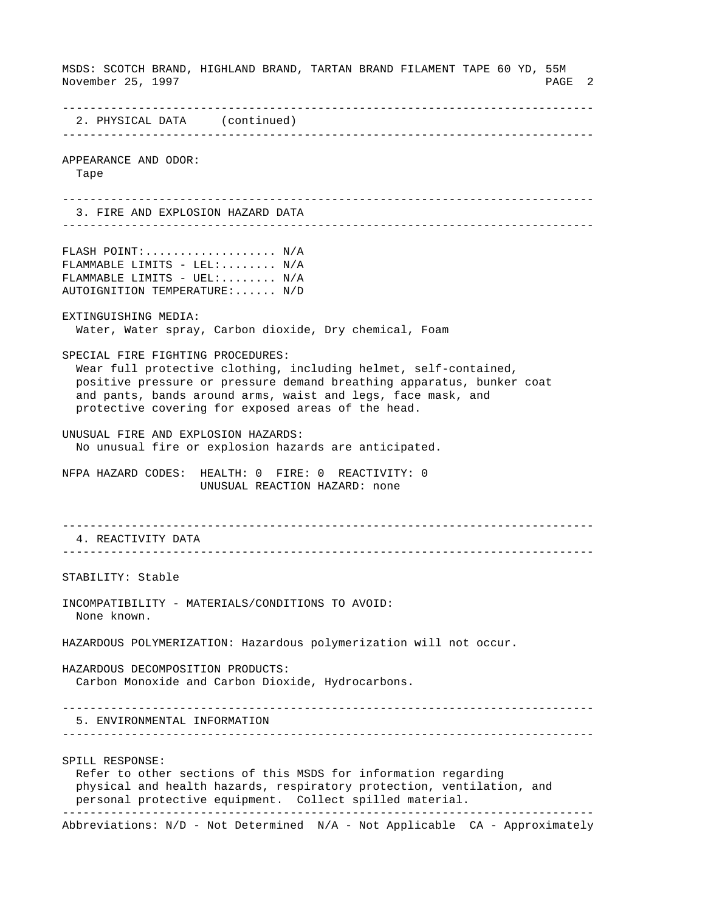MSDS: SCOTCH BRAND, HIGHLAND BRAND, TARTAN BRAND FILAMENT TAPE 60 YD, 55M November 25, 1997 PAGE 2 ----------------------------------------------------------------------------- 2. PHYSICAL DATA (continued) ----------------------------------------------------------------------------- APPEARANCE AND ODOR: Tape ----------------------------------------------------------------------------- 3. FIRE AND EXPLOSION HAZARD DATA ----------------------------------------------------------------------------- FLASH POINT:................... N/A FLAMMABLE LIMITS - LEL:.......  $N/A$ FLAMMABLE LIMITS - UEL:....... N/A AUTOIGNITION TEMPERATURE:...... N/D EXTINGUISHING MEDIA: Water, Water spray, Carbon dioxide, Dry chemical, Foam SPECIAL FIRE FIGHTING PROCEDURES: Wear full protective clothing, including helmet, self-contained, positive pressure or pressure demand breathing apparatus, bunker coat and pants, bands around arms, waist and legs, face mask, and protective covering for exposed areas of the head. UNUSUAL FIRE AND EXPLOSION HAZARDS: No unusual fire or explosion hazards are anticipated. NFPA HAZARD CODES: HEALTH: 0 FIRE: 0 REACTIVITY: 0 UNUSUAL REACTION HAZARD: none ----------------------------------------------------------------------------- 4. REACTIVITY DATA ----------------------------------------------------------------------------- STABILITY: Stable INCOMPATIBILITY - MATERIALS/CONDITIONS TO AVOID: None known. HAZARDOUS POLYMERIZATION: Hazardous polymerization will not occur. HAZARDOUS DECOMPOSITION PRODUCTS: Carbon Monoxide and Carbon Dioxide, Hydrocarbons. ----------------------------------------------------------------------------- 5. ENVIRONMENTAL INFORMATION ----------------------------------------------------------------------------- SPILL RESPONSE: Refer to other sections of this MSDS for information regarding physical and health hazards, respiratory protection, ventilation, and personal protective equipment. Collect spilled material. ----------------------------------------------------------------------------- Abbreviations: N/D - Not Determined N/A - Not Applicable CA - Approximately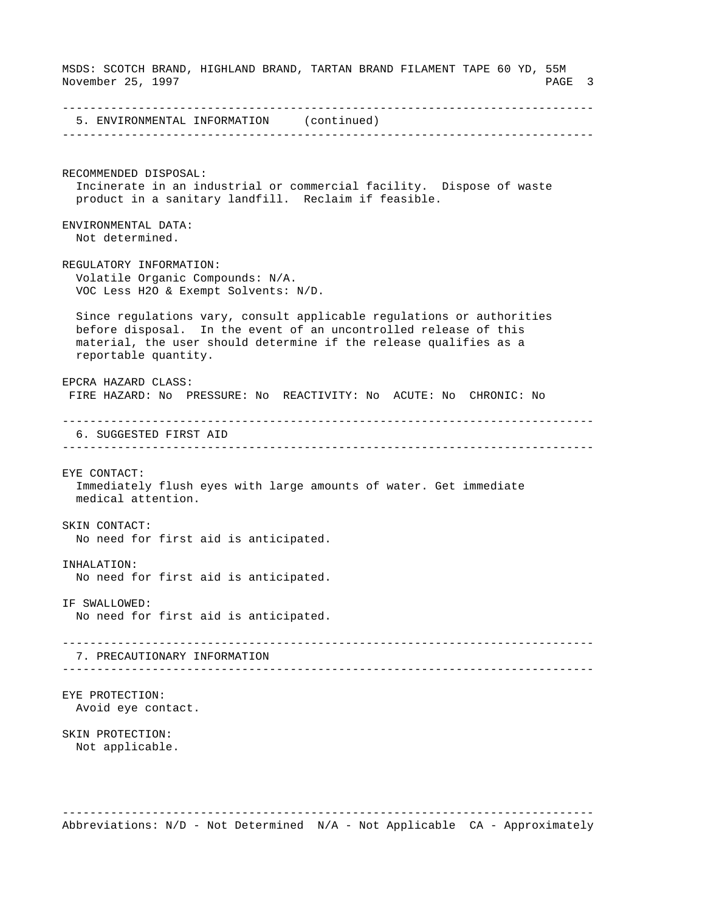MSDS: SCOTCH BRAND, HIGHLAND BRAND, TARTAN BRAND FILAMENT TAPE 60 YD, 55M November 25, 1997 PAGE 3 ----------------------------------------------------------------------------- 5. ENVIRONMENTAL INFORMATION (continued) ----------------------------------------------------------------------------- RECOMMENDED DISPOSAL: Incinerate in an industrial or commercial facility. Dispose of waste product in a sanitary landfill. Reclaim if feasible. ENVIRONMENTAL DATA: Not determined. REGULATORY INFORMATION: Volatile Organic Compounds: N/A. VOC Less H2O & Exempt Solvents: N/D. Since regulations vary, consult applicable regulations or authorities before disposal. In the event of an uncontrolled release of this material, the user should determine if the release qualifies as a reportable quantity. EPCRA HAZARD CLASS: FIRE HAZARD: No PRESSURE: No REACTIVITY: No ACUTE: No CHRONIC: No ----------------------------------------------------------------------------- 6. SUGGESTED FIRST AID ----------------------------------------------------------------------------- EYE CONTACT: Immediately flush eyes with large amounts of water. Get immediate medical attention. SKIN CONTACT: No need for first aid is anticipated. INHALATION: No need for first aid is anticipated. IF SWALLOWED: No need for first aid is anticipated. ----------------------------------------------------------------------------- 7. PRECAUTIONARY INFORMATION ----------------------------------------------------------------------------- EYE PROTECTION: Avoid eye contact. SKIN PROTECTION: Not applicable. -----------------------------------------------------------------------------

Abbreviations: N/D - Not Determined N/A - Not Applicable CA - Approximately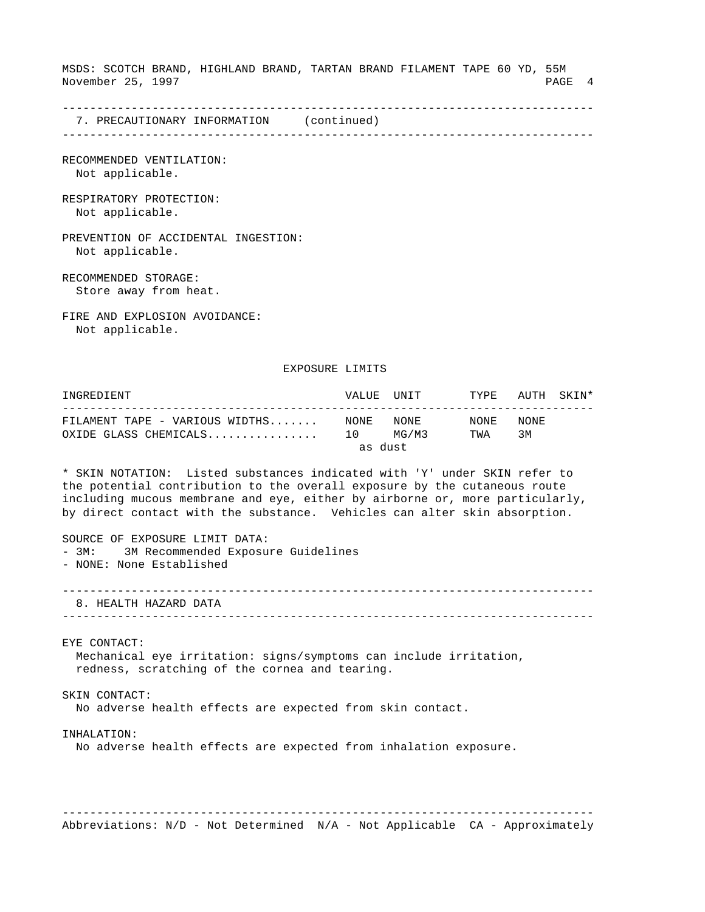MSDS: SCOTCH BRAND, HIGHLAND BRAND, TARTAN BRAND FILAMENT TAPE 60 YD, 55M November 25, 1997 PAGE 4

-----------------------------------------------------------------------------

 7. PRECAUTIONARY INFORMATION (continued) -----------------------------------------------------------------------------

RECOMMENDED VENTILATION: Not applicable.

RESPIRATORY PROTECTION: Not applicable.

PREVENTION OF ACCIDENTAL INGESTION: Not applicable.

RECOMMENDED STORAGE: Store away from heat.

FIRE AND EXPLOSION AVOIDANCE: Not applicable.

EXPOSURE LIMITS

INGREDIENT VALUE UNIT TYPE AUTH SKIN\* ----------------------------------------------------------------------------- FILAMENT TAPE - VARIOUS WIDTHS....... NONE NONE NONE NONE OXIDE GLASS CHEMICALS................ 10 MG/M3 TWA 3M as dust

\* SKIN NOTATION: Listed substances indicated with 'Y' under SKIN refer to the potential contribution to the overall exposure by the cutaneous route including mucous membrane and eye, either by airborne or, more particularly, by direct contact with the substance. Vehicles can alter skin absorption.

SOURCE OF EXPOSURE LIMIT DATA: - 3M: 3M Recommended Exposure Guidelines - NONE: None Established

----------------------------------------------------------------------------- 8. HEALTH HAZARD DATA

-----------------------------------------------------------------------------

EYE CONTACT: Mechanical eye irritation: signs/symptoms can include irritation, redness, scratching of the cornea and tearing.

SKIN CONTACT:

No adverse health effects are expected from skin contact.

INHALATION:

No adverse health effects are expected from inhalation exposure.

-----------------------------------------------------------------------------

Abbreviations: N/D - Not Determined N/A - Not Applicable CA - Approximately